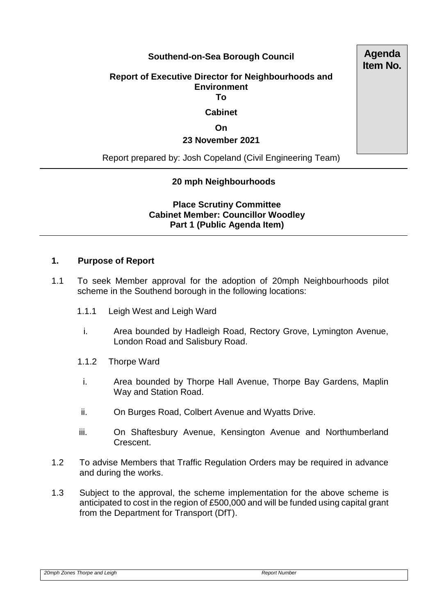## **Southend-on-Sea Borough Council**

### **Report of Executive Director for Neighbourhoods and Environment To**

# **Cabinet**

### **On**

### **23 November 2021**

Report prepared by: Josh Copeland (Civil Engineering Team)

## **20 mph Neighbourhoods**

**Place Scrutiny Committee Cabinet Member: Councillor Woodley Part 1 (Public Agenda Item)** 

### **1. Purpose of Report**

- 1.1 To seek Member approval for the adoption of 20mph Neighbourhoods pilot scheme in the Southend borough in the following locations:
	- 1.1.1 Leigh West and Leigh Ward
		- i. Area bounded by Hadleigh Road, Rectory Grove, Lymington Avenue, London Road and Salisbury Road.
	- 1.1.2 Thorpe Ward
	- i. Area bounded by Thorpe Hall Avenue, Thorpe Bay Gardens, Maplin Way and Station Road.
	- ii. On Burges Road, Colbert Avenue and Wyatts Drive.
	- iii. On Shaftesbury Avenue, Kensington Avenue and Northumberland Crescent.
- 1.2 To advise Members that Traffic Regulation Orders may be required in advance and during the works.
- 1.3 Subject to the approval, the scheme implementation for the above scheme is anticipated to cost in the region of £500,000 and will be funded using capital grant from the Department for Transport (DfT).

**Agenda Item No.**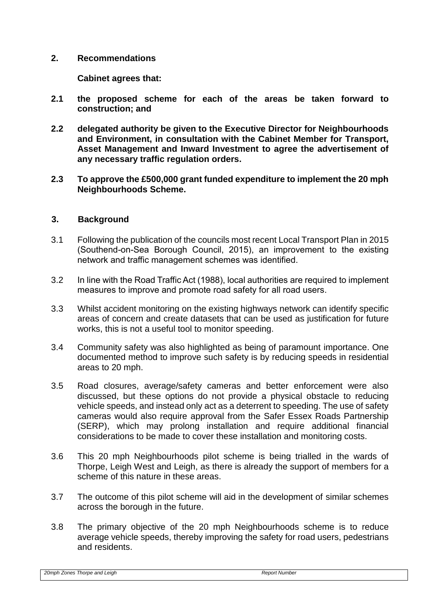### **2. Recommendations**

**Cabinet agrees that:**

- **2.1 the proposed scheme for each of the areas be taken forward to construction; and**
- **2.2 delegated authority be given to the Executive Director for Neighbourhoods and Environment, in consultation with the Cabinet Member for Transport, Asset Management and Inward Investment to agree the advertisement of any necessary traffic regulation orders.**
- **2.3 To approve the £500,000 grant funded expenditure to implement the 20 mph Neighbourhoods Scheme.**

### **3. Background**

- 3.1 Following the publication of the councils most recent Local Transport Plan in 2015 (Southend-on-Sea Borough Council, 2015), an improvement to the existing network and traffic management schemes was identified.
- 3.2 In line with the Road Traffic Act (1988), local authorities are required to implement measures to improve and promote road safety for all road users.
- 3.3 Whilst accident monitoring on the existing highways network can identify specific areas of concern and create datasets that can be used as justification for future works, this is not a useful tool to monitor speeding.
- 3.4 Community safety was also highlighted as being of paramount importance. One documented method to improve such safety is by reducing speeds in residential areas to 20 mph.
- 3.5 Road closures, average/safety cameras and better enforcement were also discussed, but these options do not provide a physical obstacle to reducing vehicle speeds, and instead only act as a deterrent to speeding. The use of safety cameras would also require approval from the Safer Essex Roads Partnership (SERP), which may prolong installation and require additional financial considerations to be made to cover these installation and monitoring costs.
- 3.6 This 20 mph Neighbourhoods pilot scheme is being trialled in the wards of Thorpe, Leigh West and Leigh, as there is already the support of members for a scheme of this nature in these areas.
- 3.7 The outcome of this pilot scheme will aid in the development of similar schemes across the borough in the future.
- 3.8 The primary objective of the 20 mph Neighbourhoods scheme is to reduce average vehicle speeds, thereby improving the safety for road users, pedestrians and residents.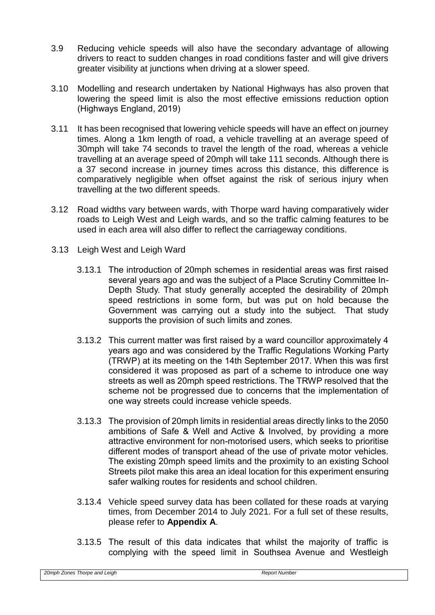- 3.9 Reducing vehicle speeds will also have the secondary advantage of allowing drivers to react to sudden changes in road conditions faster and will give drivers greater visibility at junctions when driving at a slower speed.
- 3.10 Modelling and research undertaken by National Highways has also proven that lowering the speed limit is also the most effective emissions reduction option (Highways England, 2019)
- 3.11 It has been recognised that lowering vehicle speeds will have an effect on journey times. Along a 1km length of road, a vehicle travelling at an average speed of 30mph will take 74 seconds to travel the length of the road, whereas a vehicle travelling at an average speed of 20mph will take 111 seconds. Although there is a 37 second increase in journey times across this distance, this difference is comparatively negligible when offset against the risk of serious injury when travelling at the two different speeds.
- 3.12 Road widths vary between wards, with Thorpe ward having comparatively wider roads to Leigh West and Leigh wards, and so the traffic calming features to be used in each area will also differ to reflect the carriageway conditions.
- 3.13 Leigh West and Leigh Ward
	- 3.13.1 The introduction of 20mph schemes in residential areas was first raised several years ago and was the subject of a Place Scrutiny Committee In-Depth Study. That study generally accepted the desirability of 20mph speed restrictions in some form, but was put on hold because the Government was carrying out a study into the subject. That study supports the provision of such limits and zones.
	- 3.13.2 This current matter was first raised by a ward councillor approximately 4 years ago and was considered by the Traffic Regulations Working Party (TRWP) at its meeting on the 14th September 2017. When this was first considered it was proposed as part of a scheme to introduce one way streets as well as 20mph speed restrictions. The TRWP resolved that the scheme not be progressed due to concerns that the implementation of one way streets could increase vehicle speeds.
	- 3.13.3 The provision of 20mph limits in residential areas directly links to the 2050 ambitions of Safe & Well and Active & Involved, by providing a more attractive environment for non-motorised users, which seeks to prioritise different modes of transport ahead of the use of private motor vehicles. The existing 20mph speed limits and the proximity to an existing School Streets pilot make this area an ideal location for this experiment ensuring safer walking routes for residents and school children.
	- 3.13.4 Vehicle speed survey data has been collated for these roads at varying times, from December 2014 to July 2021. For a full set of these results, please refer to **Appendix A**.
	- 3.13.5 The result of this data indicates that whilst the majority of traffic is complying with the speed limit in Southsea Avenue and Westleigh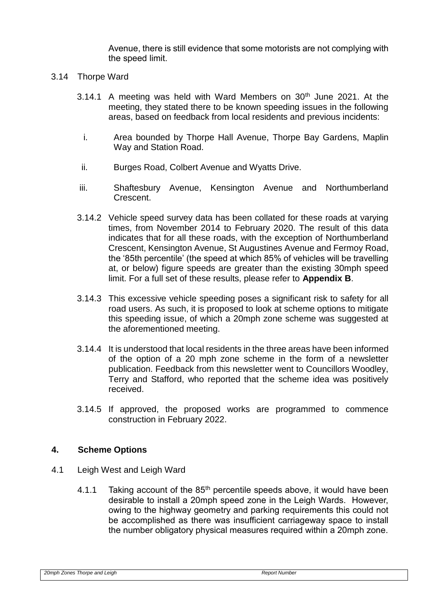Avenue, there is still evidence that some motorists are not complying with the speed limit.

- 3.14 Thorpe Ward
	- 3.14.1 A meeting was held with Ward Members on  $30<sup>th</sup>$  June 2021. At the meeting, they stated there to be known speeding issues in the following areas, based on feedback from local residents and previous incidents:
		- i. Area bounded by Thorpe Hall Avenue, Thorpe Bay Gardens, Maplin Way and Station Road.
	- ii. Burges Road, Colbert Avenue and Wyatts Drive.
	- iii. Shaftesbury Avenue, Kensington Avenue and Northumberland Crescent.
	- 3.14.2 Vehicle speed survey data has been collated for these roads at varying times, from November 2014 to February 2020. The result of this data indicates that for all these roads, with the exception of Northumberland Crescent, Kensington Avenue, St Augustines Avenue and Fermoy Road, the '85th percentile' (the speed at which 85% of vehicles will be travelling at, or below) figure speeds are greater than the existing 30mph speed limit. For a full set of these results, please refer to **Appendix B**.
	- 3.14.3 This excessive vehicle speeding poses a significant risk to safety for all road users. As such, it is proposed to look at scheme options to mitigate this speeding issue, of which a 20mph zone scheme was suggested at the aforementioned meeting.
	- 3.14.4 It is understood that local residents in the three areas have been informed of the option of a 20 mph zone scheme in the form of a newsletter publication. Feedback from this newsletter went to Councillors Woodley, Terry and Stafford, who reported that the scheme idea was positively received.
	- 3.14.5 If approved, the proposed works are programmed to commence construction in February 2022.

## **4. Scheme Options**

- 4.1 Leigh West and Leigh Ward
	- 4.1.1 Taking account of the  $85<sup>th</sup>$  percentile speeds above, it would have been desirable to install a 20mph speed zone in the Leigh Wards. However, owing to the highway geometry and parking requirements this could not be accomplished as there was insufficient carriageway space to install the number obligatory physical measures required within a 20mph zone.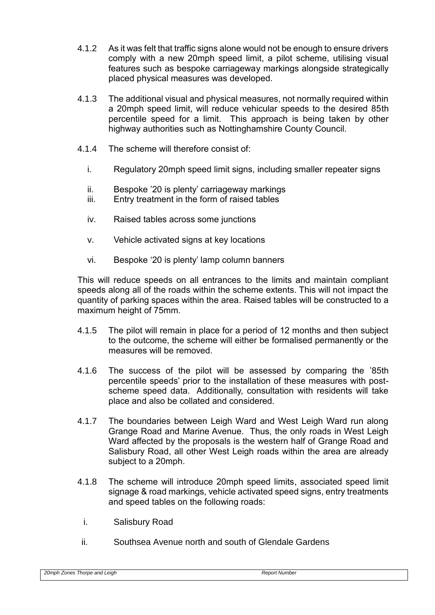- 4.1.2 As it was felt that traffic signs alone would not be enough to ensure drivers comply with a new 20mph speed limit, a pilot scheme, utilising visual features such as bespoke carriageway markings alongside strategically placed physical measures was developed.
- 4.1.3 The additional visual and physical measures, not normally required within a 20mph speed limit, will reduce vehicular speeds to the desired 85th percentile speed for a limit. This approach is being taken by other highway authorities such as Nottinghamshire County Council.
- 4.1.4 The scheme will therefore consist of:
	- i. Regulatory 20mph speed limit signs, including smaller repeater signs
	- ii. Bespoke '20 is plenty' carriageway markings
	- iii. Entry treatment in the form of raised tables
	- iv. Raised tables across some junctions
	- v. Vehicle activated signs at key locations
	- vi. Bespoke '20 is plenty' lamp column banners

This will reduce speeds on all entrances to the limits and maintain compliant speeds along all of the roads within the scheme extents. This will not impact the quantity of parking spaces within the area. Raised tables will be constructed to a maximum height of 75mm.

- 4.1.5 The pilot will remain in place for a period of 12 months and then subject to the outcome, the scheme will either be formalised permanently or the measures will be removed.
- 4.1.6 The success of the pilot will be assessed by comparing the '85th percentile speeds' prior to the installation of these measures with postscheme speed data. Additionally, consultation with residents will take place and also be collated and considered.
- 4.1.7 The boundaries between Leigh Ward and West Leigh Ward run along Grange Road and Marine Avenue. Thus, the only roads in West Leigh Ward affected by the proposals is the western half of Grange Road and Salisbury Road, all other West Leigh roads within the area are already subject to a 20mph.
- 4.1.8 The scheme will introduce 20mph speed limits, associated speed limit signage & road markings, vehicle activated speed signs, entry treatments and speed tables on the following roads:
	- i. Salisbury Road
	- ii. Southsea Avenue north and south of Glendale Gardens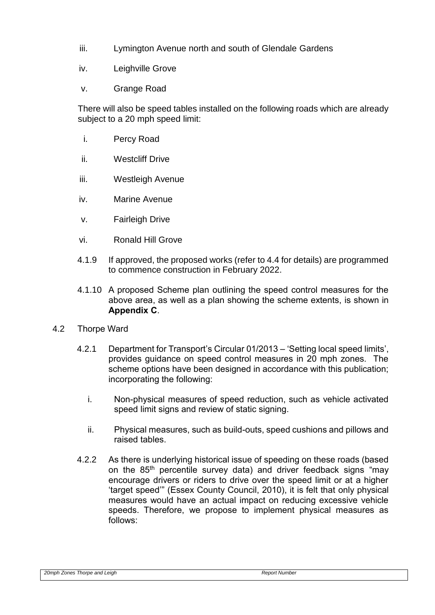- iii. Lymington Avenue north and south of Glendale Gardens
- iv. Leighville Grove
- v. Grange Road

There will also be speed tables installed on the following roads which are already subject to a 20 mph speed limit:

- i. Percy Road
- ii. Westcliff Drive
- iii. Westleigh Avenue
- iv. Marine Avenue
- v. Fairleigh Drive
- vi. Ronald Hill Grove
- 4.1.9 If approved, the proposed works (refer to 4.4 for details) are programmed to commence construction in February 2022.
- 4.1.10 A proposed Scheme plan outlining the speed control measures for the above area, as well as a plan showing the scheme extents, is shown in **Appendix C**.
- 4.2 Thorpe Ward
	- 4.2.1 Department for Transport's Circular 01/2013 'Setting local speed limits', provides guidance on speed control measures in 20 mph zones. The scheme options have been designed in accordance with this publication; incorporating the following:
		- i. Non-physical measures of speed reduction, such as vehicle activated speed limit signs and review of static signing.
		- ii. Physical measures, such as build-outs, speed cushions and pillows and raised tables.
	- 4.2.2 As there is underlying historical issue of speeding on these roads (based on the 85th percentile survey data) and driver feedback signs "may encourage drivers or riders to drive over the speed limit or at a higher 'target speed'" (Essex County Council, 2010), it is felt that only physical measures would have an actual impact on reducing excessive vehicle speeds. Therefore, we propose to implement physical measures as follows: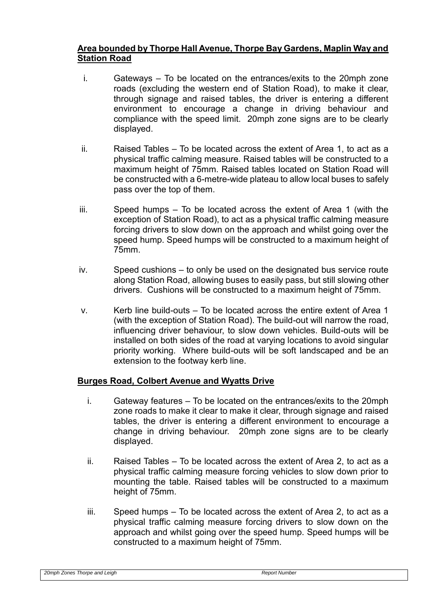## **Area bounded by Thorpe Hall Avenue, Thorpe Bay Gardens, Maplin Way and Station Road**

- i. Gateways To be located on the entrances/exits to the 20mph zone roads (excluding the western end of Station Road), to make it clear, through signage and raised tables, the driver is entering a different environment to encourage a change in driving behaviour and compliance with the speed limit. 20mph zone signs are to be clearly displayed.
- $ii.$  Raised Tables To be located across the extent of Area 1, to act as a physical traffic calming measure. Raised tables will be constructed to a maximum height of 75mm. Raised tables located on Station Road will be constructed with a 6-metre-wide plateau to allow local buses to safely pass over the top of them.
- iii. Speed humps To be located across the extent of Area 1 (with the exception of Station Road), to act as a physical traffic calming measure forcing drivers to slow down on the approach and whilst going over the speed hump. Speed humps will be constructed to a maximum height of 75mm.
- iv. Speed cushions to only be used on the designated bus service route along Station Road, allowing buses to easily pass, but still slowing other drivers. Cushions will be constructed to a maximum height of 75mm.
- $v<sub>1</sub>$  Kerb line build-outs To be located across the entire extent of Area 1 (with the exception of Station Road). The build-out will narrow the road, influencing driver behaviour, to slow down vehicles. Build-outs will be installed on both sides of the road at varying locations to avoid singular priority working. Where build-outs will be soft landscaped and be an extension to the footway kerb line.

## **Burges Road, Colbert Avenue and Wyatts Drive**

- i. Gateway features To be located on the entrances/exits to the 20mph zone roads to make it clear to make it clear, through signage and raised tables, the driver is entering a different environment to encourage a change in driving behaviour. 20mph zone signs are to be clearly displayed.
- ii. Raised Tables To be located across the extent of Area 2, to act as a physical traffic calming measure forcing vehicles to slow down prior to mounting the table. Raised tables will be constructed to a maximum height of 75mm.
- iii. Speed humps To be located across the extent of Area 2, to act as a physical traffic calming measure forcing drivers to slow down on the approach and whilst going over the speed hump. Speed humps will be constructed to a maximum height of 75mm.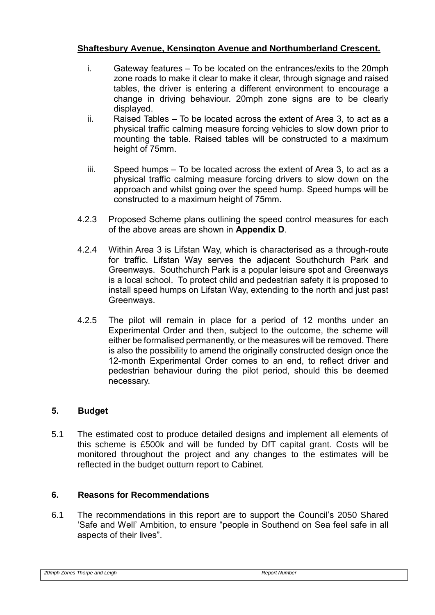## **Shaftesbury Avenue, Kensington Avenue and Northumberland Crescent.**

- i. Gateway features To be located on the entrances/exits to the 20mph zone roads to make it clear to make it clear, through signage and raised tables, the driver is entering a different environment to encourage a change in driving behaviour. 20mph zone signs are to be clearly displayed.
- ii. Raised Tables To be located across the extent of Area 3, to act as a physical traffic calming measure forcing vehicles to slow down prior to mounting the table. Raised tables will be constructed to a maximum height of 75mm.
- iii. Speed humps To be located across the extent of Area 3, to act as a physical traffic calming measure forcing drivers to slow down on the approach and whilst going over the speed hump. Speed humps will be constructed to a maximum height of 75mm.
- 4.2.3 Proposed Scheme plans outlining the speed control measures for each of the above areas are shown in **Appendix D**.
- 4.2.4 Within Area 3 is Lifstan Way, which is characterised as a through-route for traffic. Lifstan Way serves the adjacent Southchurch Park and Greenways. Southchurch Park is a popular leisure spot and Greenways is a local school. To protect child and pedestrian safety it is proposed to install speed humps on Lifstan Way, extending to the north and just past Greenways.
- 4.2.5 The pilot will remain in place for a period of 12 months under an Experimental Order and then, subject to the outcome, the scheme will either be formalised permanently, or the measures will be removed. There is also the possibility to amend the originally constructed design once the 12-month Experimental Order comes to an end, to reflect driver and pedestrian behaviour during the pilot period, should this be deemed necessary.

## **5. Budget**

5.1 The estimated cost to produce detailed designs and implement all elements of this scheme is £500k and will be funded by DfT capital grant. Costs will be monitored throughout the project and any changes to the estimates will be reflected in the budget outturn report to Cabinet.

## **6. Reasons for Recommendations**

6.1 The recommendations in this report are to support the Council's 2050 Shared 'Safe and Well' Ambition, to ensure "people in Southend on Sea feel safe in all aspects of their lives".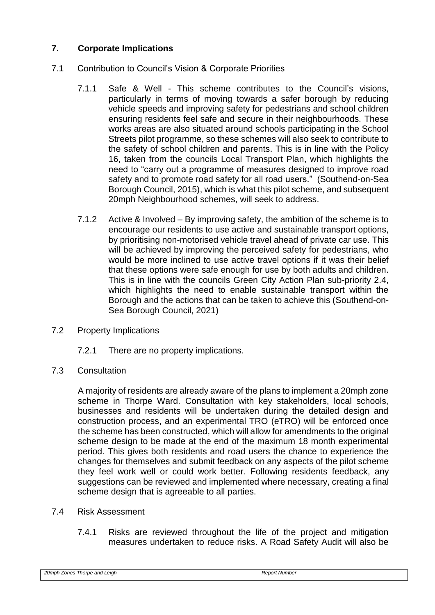## **7. Corporate Implications**

- 7.1 Contribution to Council's Vision & Corporate Priorities
	- 7.1.1 Safe & Well This scheme contributes to the Council's visions, particularly in terms of moving towards a safer borough by reducing vehicle speeds and improving safety for pedestrians and school children ensuring residents feel safe and secure in their neighbourhoods. These works areas are also situated around schools participating in the School Streets pilot programme, so these schemes will also seek to contribute to the safety of school children and parents. This is in line with the Policy 16, taken from the councils Local Transport Plan, which highlights the need to "carry out a programme of measures designed to improve road safety and to promote road safety for all road users." (Southend-on-Sea Borough Council, 2015), which is what this pilot scheme, and subsequent 20mph Neighbourhood schemes, will seek to address.
	- 7.1.2 Active & Involved By improving safety, the ambition of the scheme is to encourage our residents to use active and sustainable transport options, by prioritising non-motorised vehicle travel ahead of private car use. This will be achieved by improving the perceived safety for pedestrians, who would be more inclined to use active travel options if it was their belief that these options were safe enough for use by both adults and children. This is in line with the councils Green City Action Plan sub-priority 2.4, which highlights the need to enable sustainable transport within the Borough and the actions that can be taken to achieve this (Southend-on-Sea Borough Council, 2021)
- 7.2 Property Implications
	- 7.2.1 There are no property implications.
- 7.3 Consultation

A majority of residents are already aware of the plans to implement a 20mph zone scheme in Thorpe Ward. Consultation with key stakeholders, local schools, businesses and residents will be undertaken during the detailed design and construction process, and an experimental TRO (eTRO) will be enforced once the scheme has been constructed, which will allow for amendments to the original scheme design to be made at the end of the maximum 18 month experimental period. This gives both residents and road users the chance to experience the changes for themselves and submit feedback on any aspects of the pilot scheme they feel work well or could work better. Following residents feedback, any suggestions can be reviewed and implemented where necessary, creating a final scheme design that is agreeable to all parties.

## 7.4 Risk Assessment

7.4.1 Risks are reviewed throughout the life of the project and mitigation measures undertaken to reduce risks. A Road Safety Audit will also be